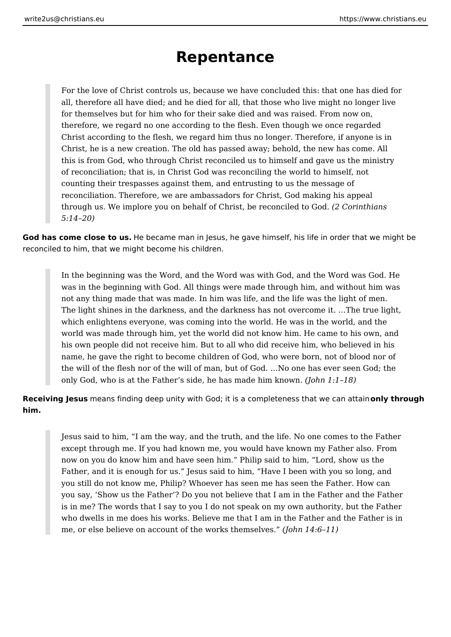## **Repentance**

For the love of Christ controls us, because we have concluded this: that one has died for all, therefore all have died; and he died for all, that those who live might no longer live for themselves but for him who for their sake died and was raised. From now on, therefore, we regard no one according to the flesh. Even though we once regarded Christ according to the flesh, we regard him thus no longer. Therefore, if anyone is in Christ, he is a new creation. The old has passed away; behold, the new has come. All this is from God, who through Christ reconciled us to himself and gave us the ministry of reconciliation; that is, in Christ God was reconciling the world to himself, not counting their trespasses against them, and entrusting to us the message of reconciliation. Therefore, we are ambassadors for Christ, God making his appeal through us. We implore you on behalf of Christ, be reconciled to God. *(2 Corinthians 5:14–20)*

**God has come close to us.** He became man in Jesus, he gave himself, his life in order that we might be reconciled to him, that we might become his children.

In the beginning was the Word, and the Word was with God, and the Word was God. He was in the beginning with God. All things were made through him, and without him was not any thing made that was made. In him was life, and the life was the light of men. The light shines in the darkness, and the darkness has not overcome it. …The true light, which enlightens everyone, was coming into the world. He was in the world, and the world was made through him, yet the world did not know him. He came to his own, and his own people did not receive him. But to all who did receive him, who believed in his name, he gave the right to become children of God, who were born, not of blood nor of the will of the flesh nor of the will of man, but of God. …No one has ever seen God; the only God, who is at the Father's side, he has made him known. *(John 1:1–18)*

**Receiving Jesus** means finding deep unity with God; it is a completeness that we can attain **only through him.**

Jesus said to him, "I am the way, and the truth, and the life. No one comes to the Father except through me. If you had known me, you would have known my Father also. From now on you do know him and have seen him." Philip said to him, "Lord, show us the Father, and it is enough for us." Jesus said to him, "Have I been with you so long, and you still do not know me, Philip? Whoever has seen me has seen the Father. How can you say, 'Show us the Father'? Do you not believe that I am in the Father and the Father is in me? The words that I say to you I do not speak on my own authority, but the Father who dwells in me does his works. Believe me that I am in the Father and the Father is in me, or else believe on account of the works themselves." *(John 14:6–11)*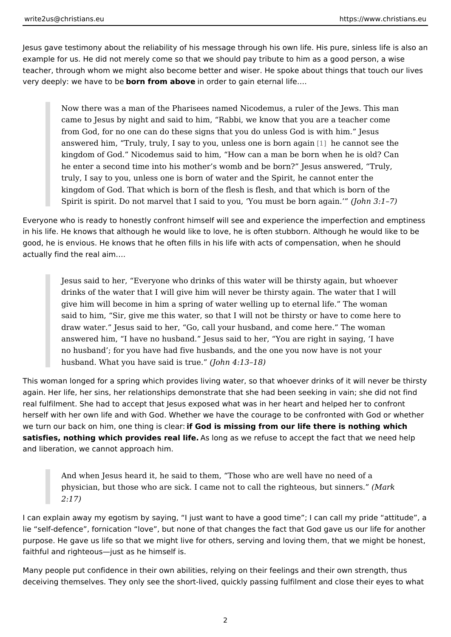Jesus gave testimony about the reliability of his message through his own life. F example for us. He did not merely come so that we should pay tribute to him as teacher, through whom we might also become better and wiser. He spoke about t very deeply: we hav be to be om above order to gain eternal life &.

Now there was a man of the Pharisees named Nicodemus, a ruler of the came to Jesus by night and said to him, Rabbi, we know that you are a from God, for no one can do these signs that you do unless God is with answered him, Truly, truly, I say to you, unles  $$1]$ ohe csambmooth saegeaith e kingdom of God. Nicodemus said to him, How can a man be born when he enter a second time into his mother s womb and be born? Jesus ans truly, I say to you, unless one is born of water and the Spirit, he canno kingdom of God. That which is born of the flesh is flesh, and that which Spirit is spirit. Do not marvel that I said to you, You (chouhsnt Be 1 b7o) rn aga

Everyone who is ready to honestly confront himself will see and experience the i in his life. He knows that although he would like to love, he is often stubborn. A good, he is envious. He knows that he often fills in his life with acts of compens actually find the real aim &.

Jesus said to her, Everyone who drinks of this water will be thirsty aga drinks of the water that I will give him will never be thirsty again. The give him will become in him a spring of water welling up to eternal life. said to him, Sir, give me this water, so that I will not be thirsty or hav draw water. Jesus said to her, Go, call your husband, and come here. answered him, I have no husband. Jesus said to her, You are right in no husband ; for you have had five husbands, and the one you now have husband. What you have said  $\phi$  is  $\pi$  r4: $\epsilon$ 1.3 18)

This woman longed for a spring which provides living water, so that whoever drin again. Her life, her sins, her relationships demonstrate that she had been seekin real fulfilment. She had to accept that Jesus exposed what was in her heart and herself with her own life and with God. Whether we have the courage to be confr we turn our back on him, one thifn@oids icslemairssing from our life there is nothing wh satisfies, nothing which provides  $r$ esal dinfopas we refuse to accept the fact that we and liberation, we cannot approach him.

And when Jesus heard it, he said to them, Those who are well have no physician, but those who are sick. I came not to call the (Matteous, but 2:17)

I can explain away my egotism by saying, I just want to have a good time ; I cal lie self-defence, fornication love, but none of that changes the fact that God purpose. He gave us life so that we might live for others, serving and loving the faithful and righteous just as he himself is.

Many people put confidence in their own abilities, relying on their feelings and t deceiving themselves. They only see the short-lived, quickly passing fulfilment a

2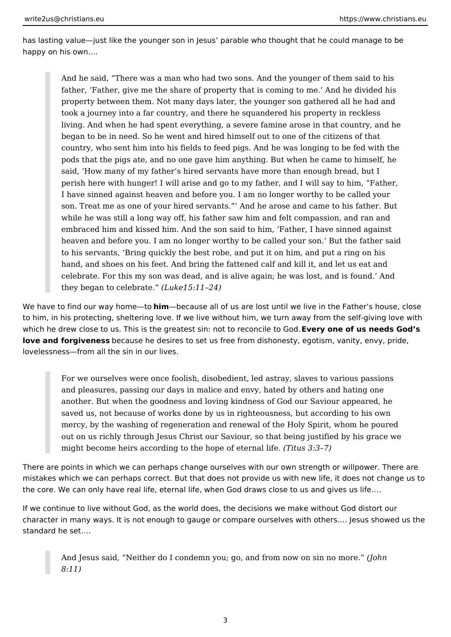has lasting value—just like the younger son in Jesus' parable who thought that he could manage to be happy on his own….

And he said, "There was a man who had two sons. And the younger of them said to his father, 'Father, give me the share of property that is coming to me.' And he divided his property between them. Not many days later, the younger son gathered all he had and took a journey into a far country, and there he squandered his property in reckless living. And when he had spent everything, a severe famine arose in that country, and he began to be in need. So he went and hired himself out to one of the citizens of that country, who sent him into his fields to feed pigs. And he was longing to be fed with the pods that the pigs ate, and no one gave him anything. But when he came to himself, he said, 'How many of my father's hired servants have more than enough bread, but I perish here with hunger! I will arise and go to my father, and I will say to him, "Father, I have sinned against heaven and before you. I am no longer worthy to be called your son. Treat me as one of your hired servants."' And he arose and came to his father. But while he was still a long way off, his father saw him and felt compassion, and ran and embraced him and kissed him. And the son said to him, 'Father, I have sinned against heaven and before you. I am no longer worthy to be called your son.' But the father said to his servants, 'Bring quickly the best robe, and put it on him, and put a ring on his hand, and shoes on his feet. And bring the fattened calf and kill it, and let us eat and celebrate. For this my son was dead, and is alive again; he was lost, and is found.' And they began to celebrate." *(Luke15:11–24)*

We have to find our way home—to **him**—because all of us are lost until we live in the Father's house, close to him, in his protecting, sheltering love. If we live without him, we turn away from the self-giving love with which he drew close to us. This is the greatest sin: not to reconcile to God. **Every one of us needs God's love and forgiveness** because he desires to set us free from dishonesty, egotism, vanity, envy, pride, lovelessness—from all the sin in our lives.

For we ourselves were once foolish, disobedient, led astray, slaves to various passions and pleasures, passing our days in malice and envy, hated by others and hating one another. But when the goodness and loving kindness of God our Saviour appeared, he saved us, not because of works done by us in righteousness, but according to his own mercy, by the washing of regeneration and renewal of the Holy Spirit, whom he poured out on us richly through Jesus Christ our Saviour, so that being justified by his grace we might become heirs according to the hope of eternal life. *(Titus 3:3–7)*

There are points in which we can perhaps change ourselves with our own strength or willpower. There are mistakes which we can perhaps correct. But that does not provide us with new life, it does not change us to the core. We can only have real life, eternal life, when God draws close to us and gives us life….

If we continue to live without God, as the world does, the decisions we make without God distort our character in many ways. It is not enough to gauge or compare ourselves with others…. Jesus showed us the standard he set….

And Jesus said, "Neither do I condemn you; go, and from now on sin no more." *(John 8:11)*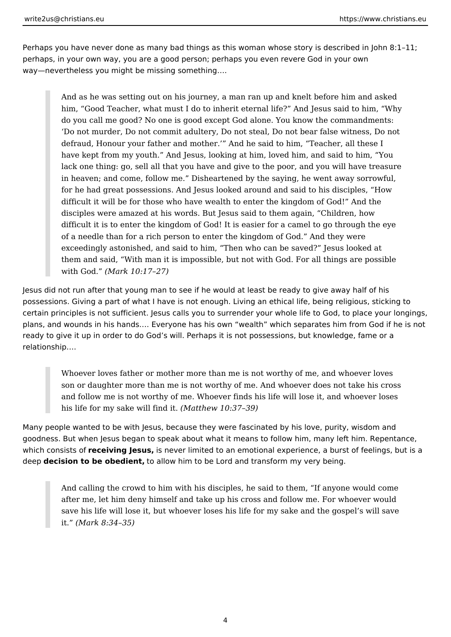Perhaps you have never done as many bad things as this woman whose story is described in John 8:1–11; perhaps, in your own way, you are a good person; perhaps you even revere God in your own way—nevertheless you might be missing something….

And as he was setting out on his journey, a man ran up and knelt before him and asked him, "Good Teacher, what must I do to inherit eternal life?" And Jesus said to him, "Why do you call me good? No one is good except God alone. You know the commandments: 'Do not murder, Do not commit adultery, Do not steal, Do not bear false witness, Do not defraud, Honour your father and mother.'" And he said to him, "Teacher, all these I have kept from my youth." And Jesus, looking at him, loved him, and said to him, "You lack one thing: go, sell all that you have and give to the poor, and you will have treasure in heaven; and come, follow me." Disheartened by the saying, he went away sorrowful, for he had great possessions. And Jesus looked around and said to his disciples, "How difficult it will be for those who have wealth to enter the kingdom of God!" And the disciples were amazed at his words. But Jesus said to them again, "Children, how difficult it is to enter the kingdom of God! It is easier for a camel to go through the eye of a needle than for a rich person to enter the kingdom of God." And they were exceedingly astonished, and said to him, "Then who can be saved?" Jesus looked at them and said, "With man it is impossible, but not with God. For all things are possible with God." *(Mark 10:17–27)*

Jesus did not run after that young man to see if he would at least be ready to give away half of his possessions. Giving a part of what I have is not enough. Living an ethical life, being religious, sticking to certain principles is not sufficient. Jesus calls you to surrender your whole life to God, to place your longings, plans, and wounds in his hands…. Everyone has his own "wealth" which separates him from God if he is not ready to give it up in order to do God's will. Perhaps it is not possessions, but knowledge, fame or a relationship….

Whoever loves father or mother more than me is not worthy of me, and whoever loves son or daughter more than me is not worthy of me. And whoever does not take his cross and follow me is not worthy of me. Whoever finds his life will lose it, and whoever loses his life for my sake will find it. *(Matthew 10:37–39)*

Many people wanted to be with Jesus, because they were fascinated by his love, purity, wisdom and goodness. But when Jesus began to speak about what it means to follow him, many left him. Repentance, which consists of **receiving Jesus,** is never limited to an emotional experience, a burst of feelings, but is a deep **decision to be obedient,** to allow him to be Lord and transform my very being.

And calling the crowd to him with his disciples, he said to them, "If anyone would come after me, let him deny himself and take up his cross and follow me. For whoever would save his life will lose it, but whoever loses his life for my sake and the gospel's will save it." *(Mark 8:34–35)*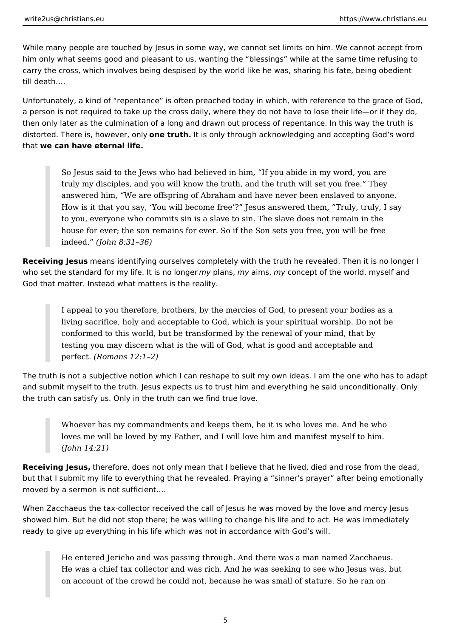While many people are touched by Jesus in some way, we cannot set limits on him. We cannot accept from him only what seems good and pleasant to us, wanting the "blessings" while at the same time refusing to carry the cross, which involves being despised by the world like he was, sharing his fate, being obedient till death….

Unfortunately, a kind of "repentance" is often preached today in which, with reference to the grace of God, a person is not required to take up the cross daily, where they do not have to lose their life—or if they do, then only later as the culmination of a long and drawn out process of repentance. In this way the truth is distorted. There is, however, only **one truth.** It is only through acknowledging and accepting God's word that **we can have eternal life.**

So Jesus said to the Jews who had believed in him, "If you abide in my word, you are truly my disciples, and you will know the truth, and the truth will set you free." They answered him, "We are offspring of Abraham and have never been enslaved to anyone. How is it that you say, 'You will become free'?" Jesus answered them, "Truly, truly, I say to you, everyone who commits sin is a slave to sin. The slave does not remain in the house for ever; the son remains for ever. So if the Son sets you free, you will be free indeed." *(John 8:31–36)*

**Receiving Jesus** means identifying ourselves completely with the truth he revealed. Then it is no longer I who set the standard for my life. It is no longer *my* plans, *my* aims, *my* concept of the world, myself and God that matter. Instead what matters is the reality.

I appeal to you therefore, brothers, by the mercies of God, to present your bodies as a living sacrifice, holy and acceptable to God, which is your spiritual worship. Do not be conformed to this world, but be transformed by the renewal of your mind, that by testing you may discern what is the will of God, what is good and acceptable and perfect. *(Romans 12:1–2)*

The truth is not a subjective notion which I can reshape to suit my own ideas. I am the one who has to adapt and submit myself to the truth. Jesus expects us to trust him and everything he said unconditionally. Only the truth can satisfy us. Only in the truth can we find true love.

Whoever has my commandments and keeps them, he it is who loves me. And he who loves me will be loved by my Father, and I will love him and manifest myself to him. *(John 14:21)*

**Receiving Jesus,** therefore, does not only mean that I believe that he lived, died and rose from the dead, but that I submit my life to everything that he revealed. Praying a "sinner's prayer" after being emotionally moved by a sermon is not sufficient….

When Zacchaeus the tax-collector received the call of Jesus he was moved by the love and mercy Jesus showed him. But he did not stop there; he was willing to change his life and to act. He was immediately ready to give up everything in his life which was not in accordance with God's will.

He entered Jericho and was passing through. And there was a man named Zacchaeus. He was a chief tax collector and was rich. And he was seeking to see who Jesus was, but on account of the crowd he could not, because he was small of stature. So he ran on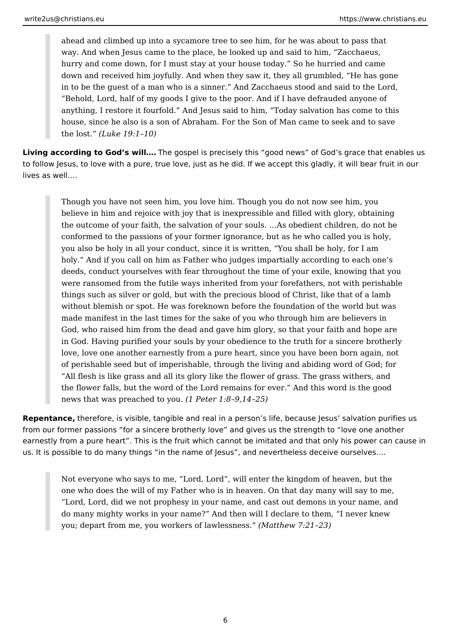ahead and climbed up into a sycamore tree to see him, for he was about to pass that way. And when Jesus came to the place, he looked up and said to him, "Zacchaeus, hurry and come down, for I must stay at your house today." So he hurried and came down and received him joyfully. And when they saw it, they all grumbled, "He has gone in to be the guest of a man who is a sinner." And Zacchaeus stood and said to the Lord, "Behold, Lord, half of my goods I give to the poor. And if I have defrauded anyone of anything, I restore it fourfold." And Jesus said to him, "Today salvation has come to this house, since he also is a son of Abraham. For the Son of Man came to seek and to save the lost." *(Luke 19:1–10)*

**Living according to God's will….** The gospel is precisely this "good news" of God's grace that enables us to follow Jesus, to love with a pure, true love, just as he did. If we accept this gladly, it will bear fruit in our lives as well….

Though you have not seen him, you love him. Though you do not now see him, you believe in him and rejoice with joy that is inexpressible and filled with glory, obtaining the outcome of your faith, the salvation of your souls. …As obedient children, do not be conformed to the passions of your former ignorance, but as he who called you is holy, you also be holy in all your conduct, since it is written, "You shall be holy, for I am holy." And if you call on him as Father who judges impartially according to each one's deeds, conduct yourselves with fear throughout the time of your exile, knowing that you were ransomed from the futile ways inherited from your forefathers, not with perishable things such as silver or gold, but with the precious blood of Christ, like that of a lamb without blemish or spot. He was foreknown before the foundation of the world but was made manifest in the last times for the sake of you who through him are believers in God, who raised him from the dead and gave him glory, so that your faith and hope are in God. Having purified your souls by your obedience to the truth for a sincere brotherly love, love one another earnestly from a pure heart, since you have been born again, not of perishable seed but of imperishable, through the living and abiding word of God; for "All flesh is like grass and all its glory like the flower of grass. The grass withers, and the flower falls, but the word of the Lord remains for ever." And this word is the good news that was preached to you. *(1 Peter 1:8–9,14–25)*

**Repentance,** therefore, is visible, tangible and real in a person's life, because Jesus' salvation purifies us from our former passions "for a sincere brotherly love" and gives us the strength to "love one another earnestly from a pure heart". This is the fruit which cannot be imitated and that only his power can cause in us. It is possible to do many things "in the name of Jesus", and nevertheless deceive ourselves….

Not everyone who says to me, "Lord, Lord", will enter the kingdom of heaven, but the one who does the will of my Father who is in heaven. On that day many will say to me, "Lord, Lord, did we not prophesy in your name, and cast out demons in your name, and do many mighty works in your name?" And then will I declare to them, "I never knew you; depart from me, you workers of lawlessness." *(Matthew 7:21–23)*